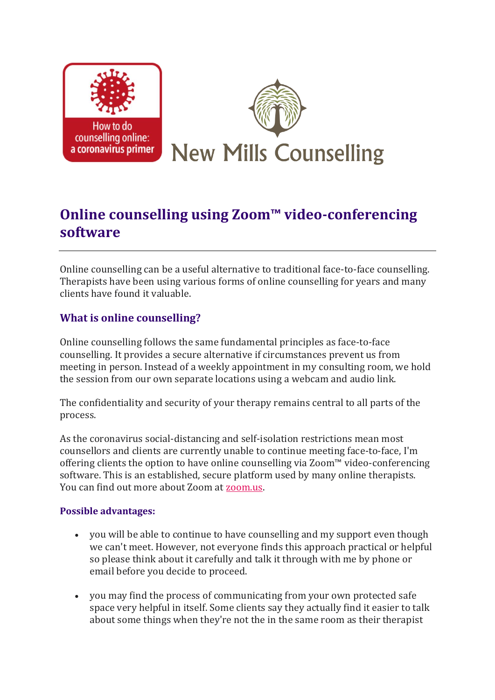

# **Online counselling using Zoom™ video-conferencing software**

Online counselling can be a useful alternative to traditional face-to-face counselling. Therapists have been using various forms of online counselling for years and many clients have found it valuable.

## **What is online counselling?**

Online counselling follows the same fundamental principles as face-to-face counselling. It provides a secure alternative if circumstances prevent us from meeting in person. Instead of a weekly appointment in my consulting room, we hold the session from our own separate locations using a webcam and audio link.

The confidentiality and security of your therapy remains central to all parts of the process.

As the coronavirus social-distancing and self-isolation restrictions mean most counsellors and clients are currently unable to continue meeting face-to-face, I'm offering clients the option to have online counselling via Zoom™ video-conferencing software. This is an established, secure platform used by many online therapists. You can find out more about Zoom at [zoom.us.](https://zoom.us/)

#### **Possible advantages:**

- you will be able to continue to have counselling and my support even though we can't meet. However, not everyone finds this approach practical or helpful so please think about it carefully and talk it through with me by phone or email before you decide to proceed.
- you may find the process of communicating from your own protected safe space very helpful in itself. Some clients say they actually find it easier to talk about some things when they're not the in the same room as their therapist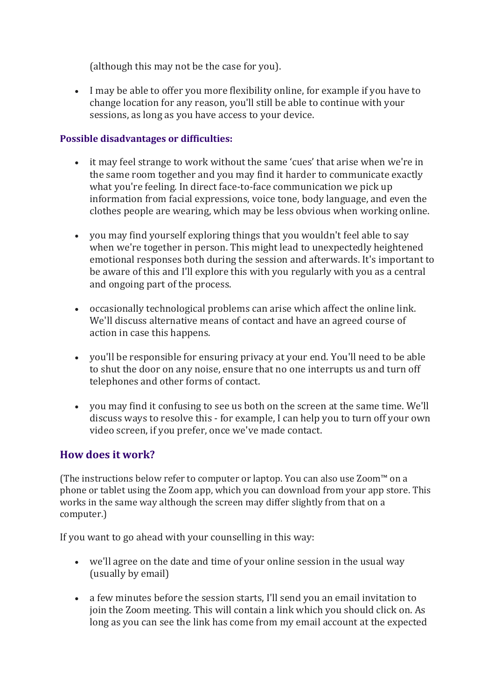(although this may not be the case for you).

• I may be able to offer you more flexibility online, for example if you have to change location for any reason, you'll still be able to continue with your sessions, as long as you have access to your device.

### **Possible disadvantages or difficulties:**

- it may feel strange to work without the same 'cues' that arise when we're in the same room together and you may find it harder to communicate exactly what you're feeling. In direct face-to-face communication we pick up information from facial expressions, voice tone, body language, and even the clothes people are wearing, which may be less obvious when working online.
- you may find yourself exploring things that you wouldn't feel able to say when we're together in person. This might lead to unexpectedly heightened emotional responses both during the session and afterwards. It's important to be aware of this and I'll explore this with you regularly with you as a central and ongoing part of the process.
- occasionally technological problems can arise which affect the online link. We'll discuss alternative means of contact and have an agreed course of action in case this happens.
- you'll be responsible for ensuring privacy at your end. You'll need to be able to shut the door on any noise, ensure that no one interrupts us and turn off telephones and other forms of contact.
- you may find it confusing to see us both on the screen at the same time. We'll discuss ways to resolve this - for example, I can help you to turn off your own video screen, if you prefer, once we've made contact.

# **How does it work?**

(The instructions below refer to computer or laptop. You can also use Zoom™ on a phone or tablet using the Zoom app, which you can download from your app store. This works in the same way although the screen may differ slightly from that on a computer.)

If you want to go ahead with your counselling in this way:

- we'll agree on the date and time of your online session in the usual way (usually by email)
- a few minutes before the session starts, I'll send you an email invitation to join the Zoom meeting. This will contain a link which you should click on. As long as you can see the link has come from my email account at the expected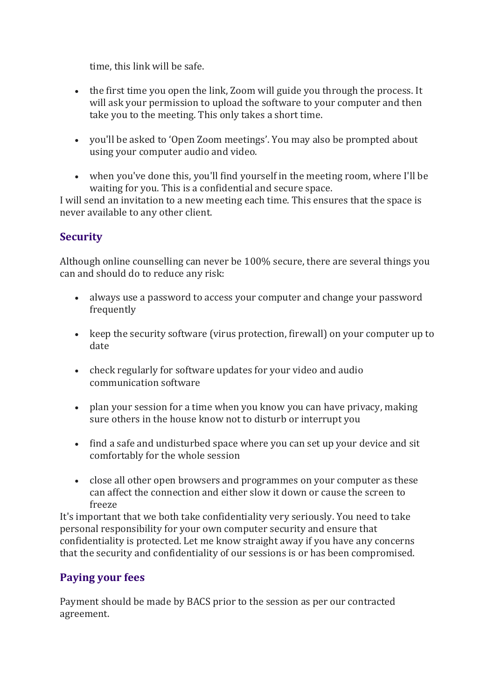time, this link will be safe.

- the first time you open the link, Zoom will guide you through the process. It will ask your permission to upload the software to your computer and then take you to the meeting. This only takes a short time.
- you'll be asked to 'Open Zoom meetings'. You may also be prompted about using your computer audio and video.
- when you've done this, you'll find yourself in the meeting room, where I'll be waiting for you. This is a confidential and secure space.

I will send an invitation to a new meeting each time. This ensures that the space is never available to any other client.

# **Security**

Although online counselling can never be 100% secure, there are several things you can and should do to reduce any risk:

- always use a password to access your computer and change your password frequently
- keep the security software (virus protection, firewall) on your computer up to date
- check regularly for software updates for your video and audio communication software
- plan your session for a time when you know you can have privacy, making sure others in the house know not to disturb or interrupt you
- find a safe and undisturbed space where you can set up your device and sit comfortably for the whole session
- close all other open browsers and programmes on your computer as these can affect the connection and either slow it down or cause the screen to freeze

It's important that we both take confidentiality very seriously. You need to take personal responsibility for your own computer security and ensure that confidentiality is protected. Let me know straight away if you have any concerns that the security and confidentiality of our sessions is or has been compromised.

# **Paying your fees**

Payment should be made by BACS prior to the session as per our contracted agreement.